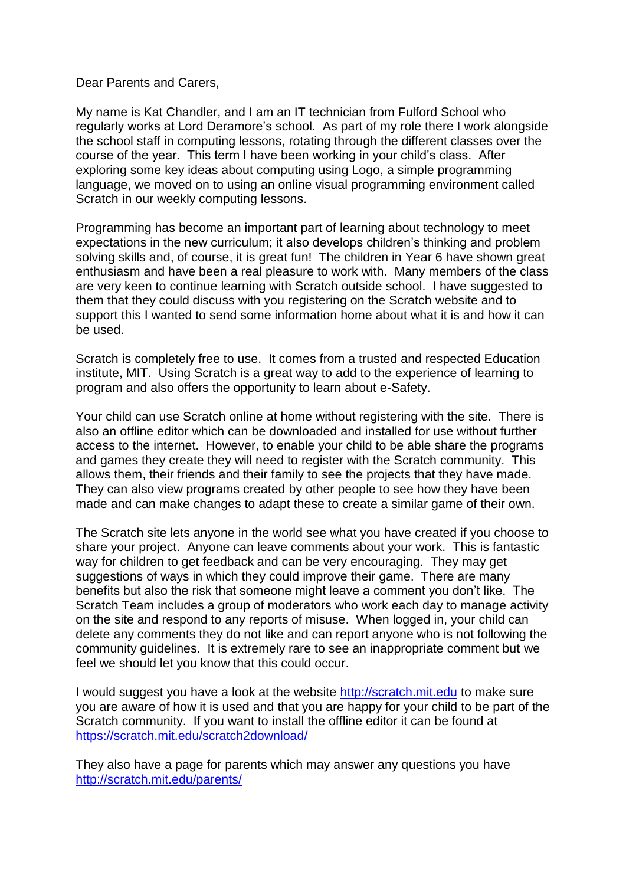Dear Parents and Carers,

My name is Kat Chandler, and I am an IT technician from Fulford School who regularly works at Lord Deramore's school. As part of my role there I work alongside the school staff in computing lessons, rotating through the different classes over the course of the year. This term I have been working in your child's class. After exploring some key ideas about computing using Logo, a simple programming language, we moved on to using an online visual programming environment called Scratch in our weekly computing lessons.

Programming has become an important part of learning about technology to meet expectations in the new curriculum; it also develops children's thinking and problem solving skills and, of course, it is great fun! The children in Year 6 have shown great enthusiasm and have been a real pleasure to work with. Many members of the class are very keen to continue learning with Scratch outside school. I have suggested to them that they could discuss with you registering on the Scratch website and to support this I wanted to send some information home about what it is and how it can be used.

Scratch is completely free to use. It comes from a trusted and respected Education institute, MIT. Using Scratch is a great way to add to the experience of learning to program and also offers the opportunity to learn about e-Safety.

Your child can use Scratch online at home without registering with the site. There is also an offline editor which can be downloaded and installed for use without further access to the internet. However, to enable your child to be able share the programs and games they create they will need to register with the Scratch community. This allows them, their friends and their family to see the projects that they have made. They can also view programs created by other people to see how they have been made and can make changes to adapt these to create a similar game of their own.

The Scratch site lets anyone in the world see what you have created if you choose to share your project. Anyone can leave comments about your work. This is fantastic way for children to get feedback and can be very encouraging. They may get suggestions of ways in which they could improve their game. There are many benefits but also the risk that someone might leave a comment you don't like. The Scratch Team includes a group of moderators who work each day to manage activity on the site and respond to any reports of misuse. When logged in, your child can delete any comments they do not like and can report anyone who is not following the community guidelines. It is extremely rare to see an inappropriate comment but we feel we should let you know that this could occur.

I would suggest you have a look at the website [http://scratch.mit.edu](http://scratch.mit.edu/) to make sure you are aware of how it is used and that you are happy for your child to be part of the Scratch community. If you want to install the offline editor it can be found at <https://scratch.mit.edu/scratch2download/>

They also have a page for parents which may answer any questions you have <http://scratch.mit.edu/parents/>